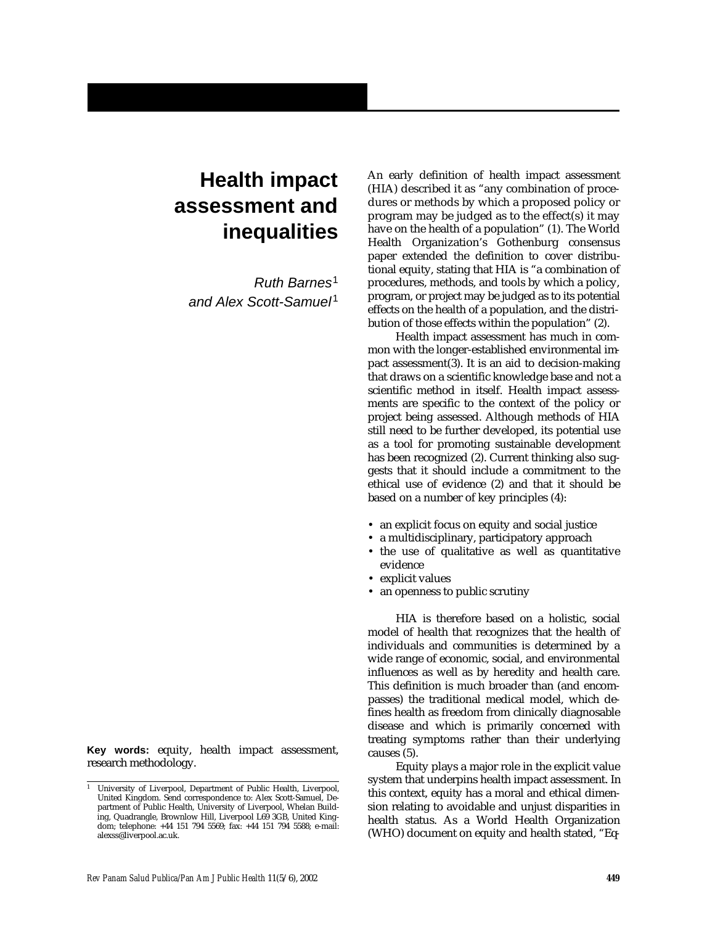# **Health impact assessment and inequalities**

Ruth Barnes<sup>1</sup> and Alex Scott-Samuel 1

**Key words:** equity, health impact assessment, research methodology.

An early definition of health impact assessment (HIA) described it as "any combination of procedures or methods by which a proposed policy or program may be judged as to the  $effect(s)$  it may have on the health of a population" (1). The World Health Organization's Gothenburg consensus paper extended the definition to cover distributional equity, stating that HIA is "a combination of procedures, methods, and tools by which a policy, program, or project may be judged as to its potential effects on the health of a population, and the distribution of those effects within the population" (2).

Health impact assessment has much in common with the longer-established environmental impact assessment(3). It is an aid to decision-making that draws on a scientific knowledge base and not a scientific method in itself. Health impact assessments are specific to the context of the policy or project being assessed. Although methods of HIA still need to be further developed, its potential use as a tool for promoting sustainable development has been recognized (2). Current thinking also suggests that it should include a commitment to the ethical use of evidence (2) and that it should be based on a number of key principles (4):

- an explicit focus on equity and social justice
- a multidisciplinary, participatory approach
- the use of qualitative as well as quantitative evidence
- explicit values
- an openness to public scrutiny

HIA is therefore based on a holistic, social model of health that recognizes that the health of individuals and communities is determined by a wide range of economic, social, and environmental influences as well as by heredity and health care. This definition is much broader than (and encompasses) the traditional medical model, which defines health as freedom from clinically diagnosable disease and which is primarily concerned with treating symptoms rather than their underlying causes (5).

Equity plays a major role in the explicit value system that underpins health impact assessment. In this context, equity has a moral and ethical dimension relating to avoidable and unjust disparities in health status. As a World Health Organization (WHO) document on equity and health stated, "Eq-

<sup>1</sup> University of Liverpool, Department of Public Health, Liverpool, United Kingdom. Send correspondence to: Alex Scott-Samuel, Department of Public Health, University of Liverpool, Whelan Building, Quadrangle, Brownlow Hill, Liverpool L69 3GB, United Kingdom; telephone: +44 151 794 5569; fax: +44 151 794 5588; e-mail: alexss@liverpool.ac.uk.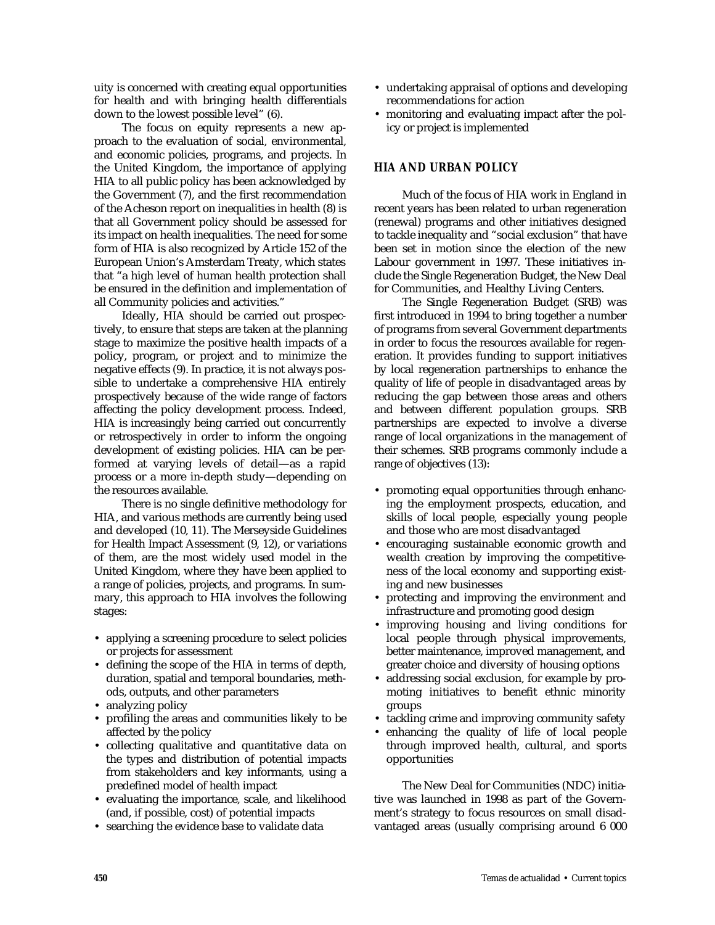uity is concerned with creating equal opportunities for health and with bringing health differentials down to the lowest possible level" (6).

The focus on equity represents a new approach to the evaluation of social, environmental, and economic policies, programs, and projects. In the United Kingdom, the importance of applying HIA to all public policy has been acknowledged by the Government (7), and the first recommendation of the Acheson report on inequalities in health (8) is that all Government policy should be assessed for its impact on health inequalities. The need for some form of HIA is also recognized by Article 152 of the European Union's Amsterdam Treaty, which states that "a high level of human health protection shall be ensured in the definition and implementation of all Community policies and activities."

Ideally, HIA should be carried out prospectively, to ensure that steps are taken at the planning stage to maximize the positive health impacts of a policy, program, or project and to minimize the negative effects (9). In practice, it is not always possible to undertake a comprehensive HIA entirely prospectively because of the wide range of factors affecting the policy development process. Indeed, HIA is increasingly being carried out concurrently or retrospectively in order to inform the ongoing development of existing policies. HIA can be performed at varying levels of detail—as a rapid process or a more in-depth study—depending on the resources available.

There is no single definitive methodology for HIA, and various methods are currently being used and developed (10, 11). The Merseyside Guidelines for Health Impact Assessment (9, 12), or variations of them, are the most widely used model in the United Kingdom, where they have been applied to a range of policies, projects, and programs. In summary, this approach to HIA involves the following stages:

- applying a screening procedure to select policies or projects for assessment
- defining the scope of the HIA in terms of depth, duration, spatial and temporal boundaries, methods, outputs, and other parameters
- analyzing policy
- profiling the areas and communities likely to be affected by the policy
- collecting qualitative and quantitative data on the types and distribution of potential impacts from stakeholders and key informants, using a predefined model of health impact
- evaluating the importance, scale, and likelihood (and, if possible, cost) of potential impacts
- searching the evidence base to validate data
- undertaking appraisal of options and developing recommendations for action
- monitoring and evaluating impact after the policy or project is implemented

### **HIA AND URBAN POLICY**

Much of the focus of HIA work in England in recent years has been related to urban regeneration (renewal) programs and other initiatives designed to tackle inequality and "social exclusion" that have been set in motion since the election of the new Labour government in 1997. These initiatives include the Single Regeneration Budget, the New Deal for Communities, and Healthy Living Centers.

The Single Regeneration Budget (SRB) was first introduced in 1994 to bring together a number of programs from several Government departments in order to focus the resources available for regeneration. It provides funding to support initiatives by local regeneration partnerships to enhance the quality of life of people in disadvantaged areas by reducing the gap between those areas and others and between different population groups. SRB partnerships are expected to involve a diverse range of local organizations in the management of their schemes. SRB programs commonly include a range of objectives (13):

- promoting equal opportunities through enhancing the employment prospects, education, and skills of local people, especially young people and those who are most disadvantaged
- encouraging sustainable economic growth and wealth creation by improving the competitiveness of the local economy and supporting existing and new businesses
- protecting and improving the environment and infrastructure and promoting good design
- improving housing and living conditions for local people through physical improvements, better maintenance, improved management, and greater choice and diversity of housing options
- addressing social exclusion, for example by promoting initiatives to benefit ethnic minority groups
- tackling crime and improving community safety
- enhancing the quality of life of local people through improved health, cultural, and sports opportunities

The New Deal for Communities (NDC) initiative was launched in 1998 as part of the Government's strategy to focus resources on small disadvantaged areas (usually comprising around 6 000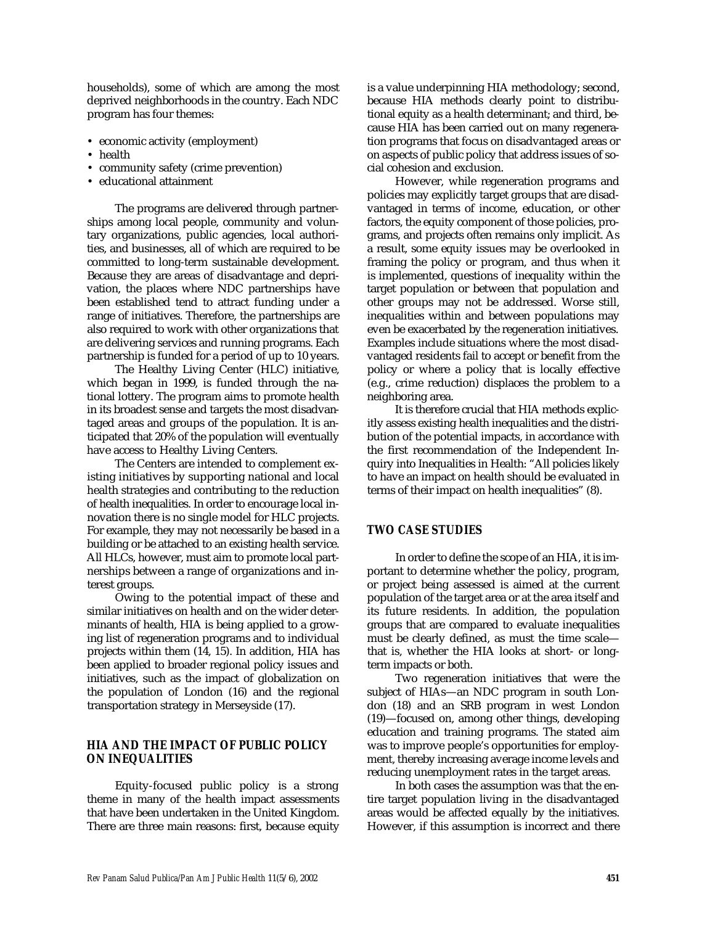households), some of which are among the most deprived neighborhoods in the country. Each NDC program has four themes:

- economic activity (employment)
- health
- community safety (crime prevention)
- educational attainment

The programs are delivered through partnerships among local people, community and voluntary organizations, public agencies, local authorities, and businesses, all of which are required to be committed to long-term sustainable development. Because they are areas of disadvantage and deprivation, the places where NDC partnerships have been established tend to attract funding under a range of initiatives. Therefore, the partnerships are also required to work with other organizations that are delivering services and running programs. Each partnership is funded for a period of up to 10 years.

The Healthy Living Center (HLC) initiative, which began in 1999, is funded through the national lottery. The program aims to promote health in its broadest sense and targets the most disadvantaged areas and groups of the population. It is anticipated that 20% of the population will eventually have access to Healthy Living Centers.

The Centers are intended to complement existing initiatives by supporting national and local health strategies and contributing to the reduction of health inequalities. In order to encourage local innovation there is no single model for HLC projects. For example, they may not necessarily be based in a building or be attached to an existing health service. All HLCs, however, must aim to promote local partnerships between a range of organizations and interest groups.

Owing to the potential impact of these and similar initiatives on health and on the wider determinants of health, HIA is being applied to a growing list of regeneration programs and to individual projects within them (14, 15). In addition, HIA has been applied to broader regional policy issues and initiatives, such as the impact of globalization on the population of London (16) and the regional transportation strategy in Merseyside (17).

## **HIA AND THE IMPACT OF PUBLIC POLICY ON INEQUALITIES**

Equity-focused public policy is a strong theme in many of the health impact assessments that have been undertaken in the United Kingdom. There are three main reasons: first, because equity is a value underpinning HIA methodology; second, because HIA methods clearly point to distributional equity as a health determinant; and third, because HIA has been carried out on many regeneration programs that focus on disadvantaged areas or on aspects of public policy that address issues of social cohesion and exclusion.

However, while regeneration programs and policies may explicitly target groups that are disadvantaged in terms of income, education, or other factors, the equity component of those policies, programs, and projects often remains only implicit. As a result, some equity issues may be overlooked in framing the policy or program, and thus when it is implemented, questions of inequality within the target population or between that population and other groups may not be addressed. Worse still, inequalities within and between populations may even be exacerbated by the regeneration initiatives. Examples include situations where the most disadvantaged residents fail to accept or benefit from the policy or where a policy that is locally effective (e.g., crime reduction) displaces the problem to a neighboring area.

It is therefore crucial that HIA methods explicitly assess existing health inequalities and the distribution of the potential impacts, in accordance with the first recommendation of the Independent Inquiry into Inequalities in Health: "All policies likely to have an impact on health should be evaluated in terms of their impact on health inequalities" (8).

### **TWO CASE STUDIES**

In order to define the scope of an HIA, it is important to determine whether the policy, program, or project being assessed is aimed at the current population of the target area or at the area itself and its future residents. In addition, the population groups that are compared to evaluate inequalities must be clearly defined, as must the time scale that is, whether the HIA looks at short- or longterm impacts or both.

Two regeneration initiatives that were the subject of HIAs—an NDC program in south London (18) and an SRB program in west London (19)—focused on, among other things, developing education and training programs. The stated aim was to improve people's opportunities for employment, thereby increasing average income levels and reducing unemployment rates in the target areas.

In both cases the assumption was that the entire target population living in the disadvantaged areas would be affected equally by the initiatives. However, if this assumption is incorrect and there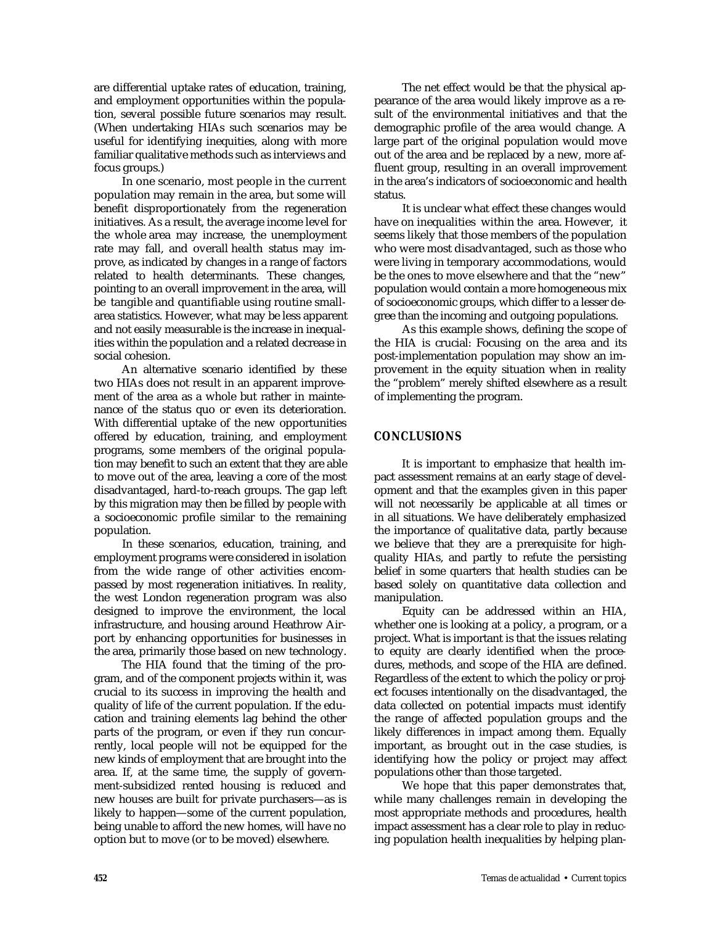are differential uptake rates of education, training, and employment opportunities within the population, several possible future scenarios may result. (When undertaking HIAs such scenarios may be useful for identifying inequities, along with more familiar qualitative methods such as interviews and focus groups.)

In one scenario, most people in the current population may remain in the area, but some will benefit disproportionately from the regeneration initiatives. As a result, the average income level for the whole area may increase, the unemployment rate may fall, and overall health status may improve, as indicated by changes in a range of factors related to health determinants. These changes, pointing to an overall improvement in the area, will be tangible and quantifiable using routine smallarea statistics. However, what may be less apparent and not easily measurable is the increase in inequalities within the population and a related decrease in social cohesion.

An alternative scenario identified by these two HIAs does not result in an apparent improvement of the area as a whole but rather in maintenance of the status quo or even its deterioration. With differential uptake of the new opportunities offered by education, training, and employment programs, some members of the original population may benefit to such an extent that they are able to move out of the area, leaving a core of the most disadvantaged, hard-to-reach groups. The gap left by this migration may then be filled by people with a socioeconomic profile similar to the remaining population.

In these scenarios, education, training, and employment programs were considered in isolation from the wide range of other activities encompassed by most regeneration initiatives. In reality, the west London regeneration program was also designed to improve the environment, the local infrastructure, and housing around Heathrow Airport by enhancing opportunities for businesses in the area, primarily those based on new technology.

The HIA found that the timing of the program, and of the component projects within it, was crucial to its success in improving the health and quality of life of the current population. If the education and training elements lag behind the other parts of the program, or even if they run concurrently, local people will not be equipped for the new kinds of employment that are brought into the area. If, at the same time, the supply of government-subsidized rented housing is reduced and new houses are built for private purchasers—as is likely to happen—some of the current population, being unable to afford the new homes, will have no option but to move (or to be moved) elsewhere.

The net effect would be that the physical appearance of the area would likely improve as a result of the environmental initiatives and that the demographic profile of the area would change. A large part of the original population would move out of the area and be replaced by a new, more affluent group, resulting in an overall improvement in the area's indicators of socioeconomic and health status.

It is unclear what effect these changes would have on inequalities within the area. However, it seems likely that those members of the population who were most disadvantaged, such as those who were living in temporary accommodations, would be the ones to move elsewhere and that the "new" population would contain a more homogeneous mix of socioeconomic groups, which differ to a lesser degree than the incoming and outgoing populations.

As this example shows, defining the scope of the HIA is crucial: Focusing on the area and its post-implementation population may show an improvement in the equity situation when in reality the "problem" merely shifted elsewhere as a result of implementing the program.

## **CONCLUSIONS**

It is important to emphasize that health impact assessment remains at an early stage of development and that the examples given in this paper will not necessarily be applicable at all times or in all situations. We have deliberately emphasized the importance of qualitative data, partly because we believe that they are a prerequisite for highquality HIAs, and partly to refute the persisting belief in some quarters that health studies can be based solely on quantitative data collection and manipulation.

Equity can be addressed within an HIA, whether one is looking at a policy, a program, or a project. What is important is that the issues relating to equity are clearly identified when the procedures, methods, and scope of the HIA are defined. Regardless of the extent to which the policy or project focuses intentionally on the disadvantaged, the data collected on potential impacts must identify the range of affected population groups and the likely differences in impact among them. Equally important, as brought out in the case studies, is identifying how the policy or project may affect populations other than those targeted.

We hope that this paper demonstrates that, while many challenges remain in developing the most appropriate methods and procedures, health impact assessment has a clear role to play in reducing population health inequalities by helping plan